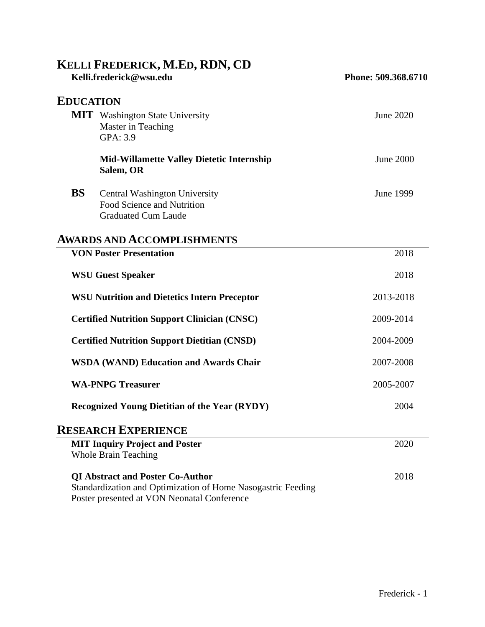# **KELLI FREDERICK, M.ED, RDN, CD**

| Kelli.frederick@wsu.edu                                                                                                                                |                                                                                                  | Phone: 509.368.6710 |
|--------------------------------------------------------------------------------------------------------------------------------------------------------|--------------------------------------------------------------------------------------------------|---------------------|
| <b>EDUCATION</b>                                                                                                                                       |                                                                                                  |                     |
|                                                                                                                                                        | <b>MIT</b> Washington State University<br>Master in Teaching<br>GPA: 3.9                         | <b>June 2020</b>    |
|                                                                                                                                                        | <b>Mid-Willamette Valley Dietetic Internship</b><br>Salem, OR                                    | <b>June 2000</b>    |
| <b>BS</b>                                                                                                                                              | <b>Central Washington University</b><br>Food Science and Nutrition<br><b>Graduated Cum Laude</b> | <b>June 1999</b>    |
|                                                                                                                                                        | <b>AWARDS AND ACCOMPLISHMENTS</b>                                                                |                     |
|                                                                                                                                                        | <b>VON Poster Presentation</b>                                                                   | 2018                |
| <b>WSU Guest Speaker</b>                                                                                                                               |                                                                                                  | 2018                |
| <b>WSU Nutrition and Dietetics Intern Preceptor</b>                                                                                                    |                                                                                                  | 2013-2018           |
| <b>Certified Nutrition Support Clinician (CNSC)</b>                                                                                                    |                                                                                                  | 2009-2014           |
| <b>Certified Nutrition Support Dietitian (CNSD)</b>                                                                                                    |                                                                                                  | 2004-2009           |
| <b>WSDA (WAND) Education and Awards Chair</b>                                                                                                          |                                                                                                  | 2007-2008           |
| <b>WA-PNPG Treasurer</b>                                                                                                                               |                                                                                                  | 2005-2007           |
| <b>Recognized Young Dietitian of the Year (RYDY)</b>                                                                                                   |                                                                                                  | 2004                |
|                                                                                                                                                        | <b>RESEARCH EXPERIENCE</b>                                                                       |                     |
|                                                                                                                                                        | <b>MIT Inquiry Project and Poster</b><br><b>Whole Brain Teaching</b>                             | 2020                |
| <b>QI Abstract and Poster Co-Author</b><br>Standardization and Optimization of Home Nasogastric Feeding<br>Poster presented at VON Neonatal Conference |                                                                                                  | 2018                |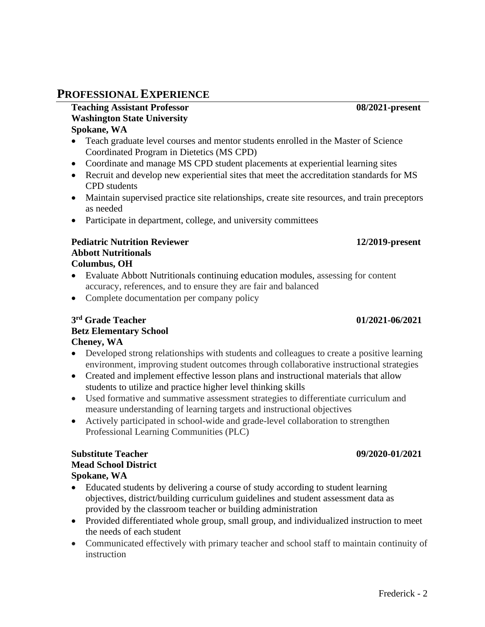# **PROFESSIONAL EXPERIENCE**

### **Teaching Assistant Professor 08/2021-present Washington State University Spokane, WA**

- Teach graduate level courses and mentor students enrolled in the Master of Science Coordinated Program in Dietetics (MS CPD)
- Coordinate and manage MS CPD student placements at experiential learning sites
- Recruit and develop new experiential sites that meet the accreditation standards for MS CPD students
- Maintain supervised practice site relationships, create site resources, and train preceptors as needed
- Participate in department, college, and university committees

### **Pediatric Nutrition Reviewer 12/2019-present Abbott Nutritionals Columbus, OH**

- Evaluate Abbott Nutritionals continuing education modules, assessing for content accuracy, references, and to ensure they are fair and balanced
- Complete documentation per company policy

### **3 rd Grade Teacher 01/2021-06/2021 Betz Elementary School Cheney, WA**

- Developed strong relationships with students and colleagues to create a positive learning environment, improving student outcomes through collaborative instructional strategies
- Created and implement effective lesson plans and instructional materials that allow students to utilize and practice higher level thinking skills
- Used formative and summative assessment strategies to differentiate curriculum and measure understanding of learning targets and instructional objectives
- Actively participated in school-wide and grade-level collaboration to strengthen Professional Learning Communities (PLC)

### **Substitute Teacher 09/2020-01/2021 Mead School District Spokane, WA**

- Educated students by delivering a course of study according to student learning objectives, district/building curriculum guidelines and student assessment data as provided by the classroom teacher or building administration
- Provided differentiated whole group, small group, and individualized instruction to meet the needs of each student
- Communicated effectively with primary teacher and school staff to maintain continuity of instruction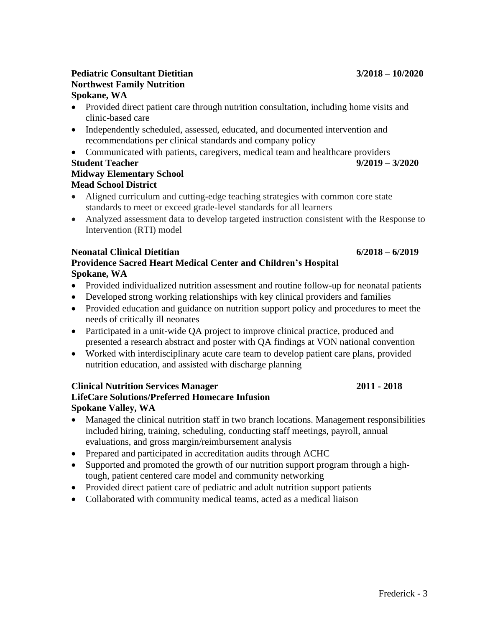## **Pediatric Consultant Dietitian 3/2018 – 10/2020 Northwest Family Nutrition Spokane, WA**

- Provided direct patient care through nutrition consultation, including home visits and clinic-based care
- Independently scheduled, assessed, educated, and documented intervention and recommendations per clinical standards and company policy
- Communicated with patients, caregivers, medical team and healthcare providers

### **Student Teacher 9/2019 – 3/2020 Midway Elementary School Mead School District**

- Aligned curriculum and cutting-edge teaching strategies with common core state standards to meet or exceed grade-level standards for all learners
- Analyzed assessment data to develop targeted instruction consistent with the Response to Intervention (RTI) model

### **Neonatal Clinical Dietitian 6/2018 – 6/2019 Providence Sacred Heart Medical Center and Children's Hospital Spokane, WA**

- Provided individualized nutrition assessment and routine follow-up for neonatal patients
- Developed strong working relationships with key clinical providers and families
- Provided education and guidance on nutrition support policy and procedures to meet the needs of critically ill neonates
- Participated in a unit-wide QA project to improve clinical practice, produced and presented a research abstract and poster with QA findings at VON national convention
- Worked with interdisciplinary acute care team to develop patient care plans, provided nutrition education, and assisted with discharge planning

# **Clinical Nutrition Services Manager 2011 - 2018**

# **LifeCare Solutions/Preferred Homecare Infusion Spokane Valley, WA**

- Managed the clinical nutrition staff in two branch locations. Management responsibilities included hiring, training, scheduling, conducting staff meetings, payroll, annual evaluations, and gross margin/reimbursement analysis
- Prepared and participated in accreditation audits through ACHC
- Supported and promoted the growth of our nutrition support program through a hightough, patient centered care model and community networking
- Provided direct patient care of pediatric and adult nutrition support patients
- Collaborated with community medical teams, acted as a medical liaison